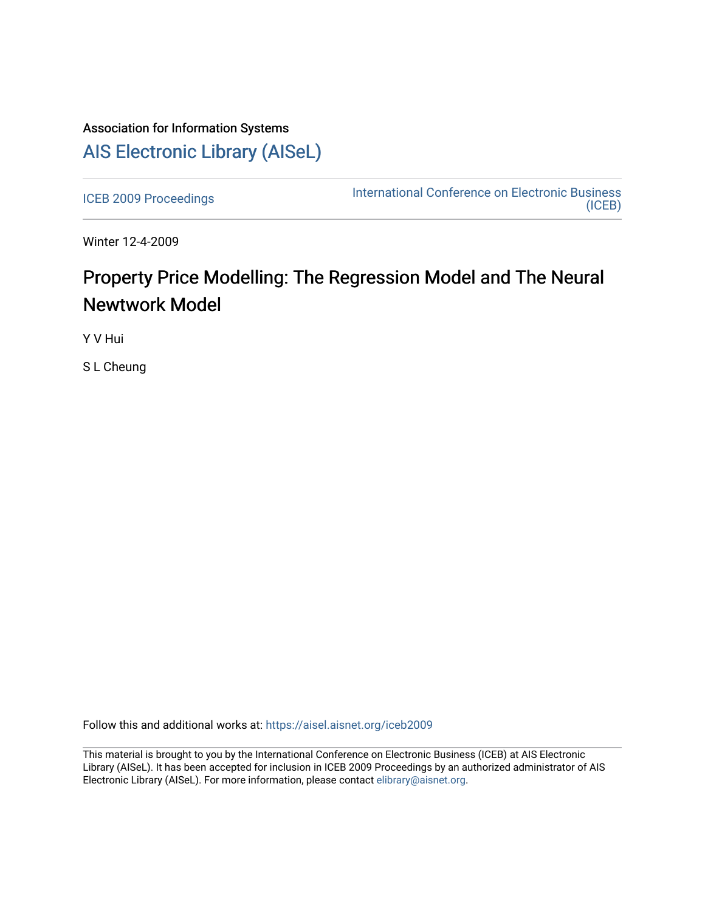# Association for Information Systems [AIS Electronic Library \(AISeL\)](https://aisel.aisnet.org/)

[ICEB 2009 Proceedings](https://aisel.aisnet.org/iceb2009) **International Conference on Electronic Business** [\(ICEB\)](https://aisel.aisnet.org/iceb) 

Winter 12-4-2009

# Property Price Modelling: The Regression Model and The Neural Newtwork Model

Y V Hui

S L Cheung

Follow this and additional works at: [https://aisel.aisnet.org/iceb2009](https://aisel.aisnet.org/iceb2009?utm_source=aisel.aisnet.org%2Ficeb2009%2F36&utm_medium=PDF&utm_campaign=PDFCoverPages)

This material is brought to you by the International Conference on Electronic Business (ICEB) at AIS Electronic Library (AISeL). It has been accepted for inclusion in ICEB 2009 Proceedings by an authorized administrator of AIS Electronic Library (AISeL). For more information, please contact [elibrary@aisnet.org.](mailto:elibrary@aisnet.org%3E)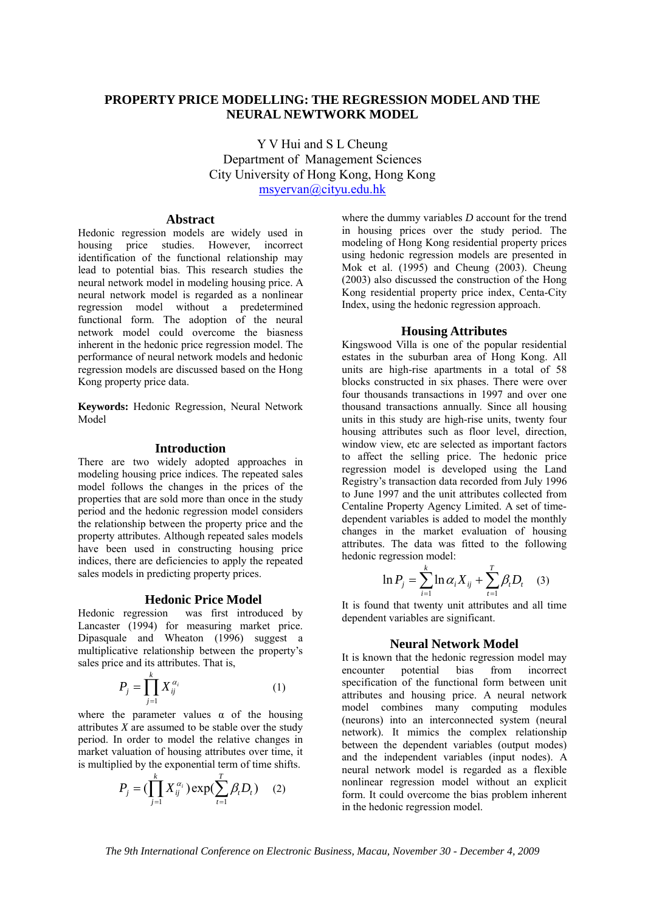# **PROPERTY PRICE MODELLING: THE REGRESSION MODEL AND THE NEURAL NEWTWORK MODEL**

Y V Hui and S L Cheung Department of Management Sciences City University of Hong Kong, Hong Kong msyervan@cityu.edu.hk

### **Abstract**

Hedonic regression models are widely used in housing price studies. However, incorrect identification of the functional relationship may lead to potential bias. This research studies the neural network model in modeling housing price. A neural network model is regarded as a nonlinear regression model without a predetermined functional form. The adoption of the neural network model could overcome the biasness inherent in the hedonic price regression model. The performance of neural network models and hedonic regression models are discussed based on the Hong Kong property price data.

**Keywords:** Hedonic Regression, Neural Network Model

# **Introduction**

There are two widely adopted approaches in modeling housing price indices. The repeated sales model follows the changes in the prices of the properties that are sold more than once in the study period and the hedonic regression model considers the relationship between the property price and the property attributes. Although repeated sales models have been used in constructing housing price indices, there are deficiencies to apply the repeated sales models in predicting property prices.

## **Hedonic Price Model**

Hedonic regression was first introduced by Lancaster (1994) for measuring market price. Dipasquale and Wheaton (1996) suggest a multiplicative relationship between the property's sales price and its attributes. That is,

$$
P_j = \prod_{j=1}^k X_{ij}^{\alpha_i} \tag{1}
$$

where the parameter values  $\alpha$  of the housing attributes *X* are assumed to be stable over the study period. In order to model the relative changes in market valuation of housing attributes over time, it is multiplied by the exponential term of time shifts.

$$
P_j = (\prod_{j=1}^{k} X_{ij}^{\alpha_i}) \exp(\sum_{t=1}^{T} \beta_t D_t) \quad (2)
$$

where the dummy variables *D* account for the trend in housing prices over the study period. The modeling of Hong Kong residential property prices using hedonic regression models are presented in Mok et al. (1995) and Cheung (2003). Cheung (2003) also discussed the construction of the Hong Kong residential property price index, Centa-City Index, using the hedonic regression approach.

#### **Housing Attributes**

Kingswood Villa is one of the popular residential estates in the suburban area of Hong Kong. All units are high-rise apartments in a total of 58 blocks constructed in six phases. There were over four thousands transactions in 1997 and over one thousand transactions annually. Since all housing units in this study are high-rise units, twenty four housing attributes such as floor level, direction, window view, etc are selected as important factors to affect the selling price. The hedonic price regression model is developed using the Land Registry's transaction data recorded from July 1996 to June 1997 and the unit attributes collected from Centaline Property Agency Limited. A set of timedependent variables is added to model the monthly changes in the market evaluation of housing attributes. The data was fitted to the following hedonic regression model:

$$
\ln P_j = \sum_{i=1}^k \ln \alpha_i X_{ij} + \sum_{t=1}^T \beta_t D_t \quad (3)
$$

It is found that twenty unit attributes and all time dependent variables are significant.

#### **Neural Network Model**

It is known that the hedonic regression model may<br>encounter potential bias from incorrect encounter potential bias from incorrect specification of the functional form between unit attributes and housing price. A neural network model combines many computing modules (neurons) into an interconnected system (neural network). It mimics the complex relationship between the dependent variables (output modes) and the independent variables (input nodes). A neural network model is regarded as a flexible nonlinear regression model without an explicit form. It could overcome the bias problem inherent in the hedonic regression model.